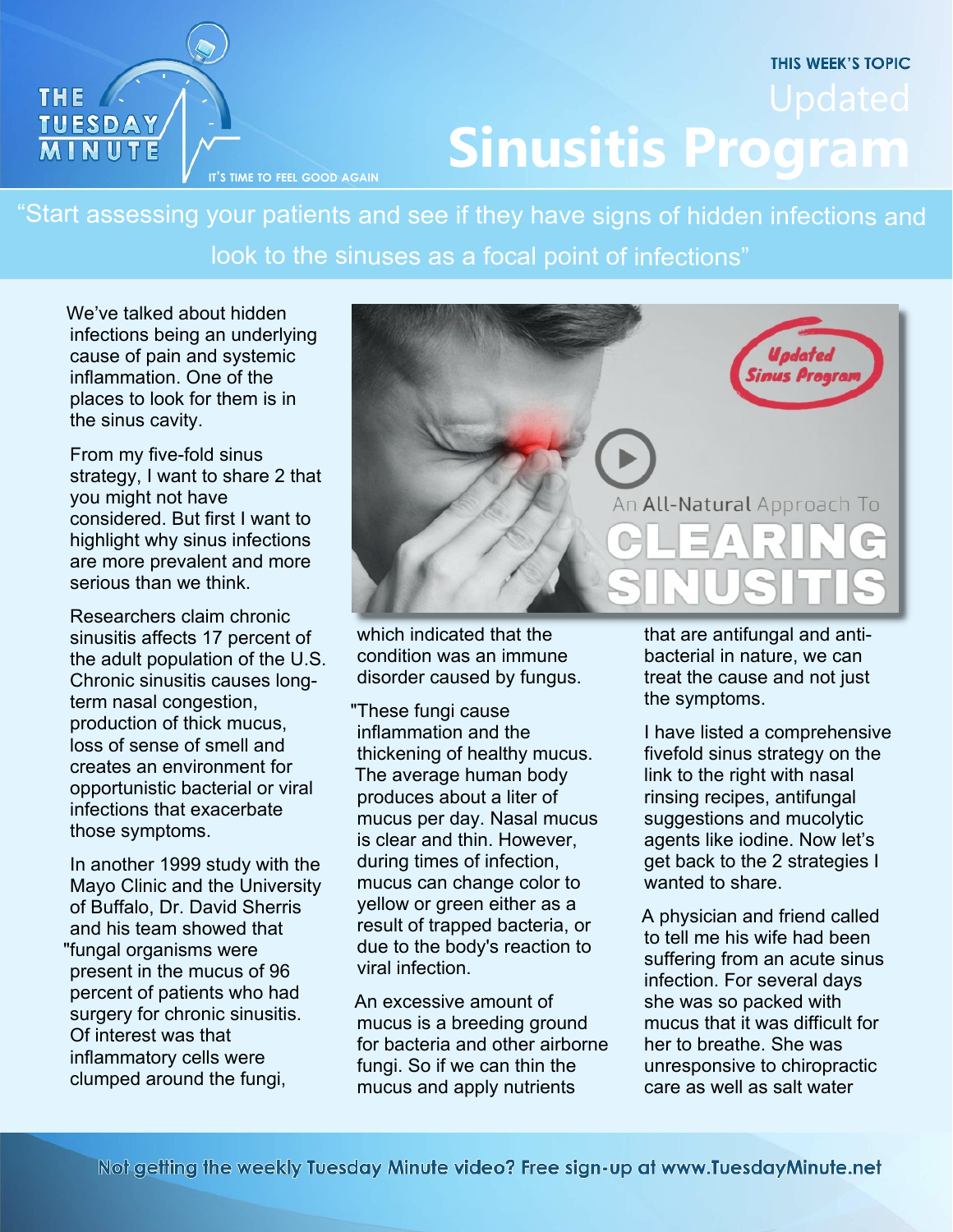## **THIS WEEK'S TOPIC IT**

"Start assessing your patients and see if they have signs of hidden infections and look to the sinuses as a focal point of infections"

We've talked about hidden infections being an underlying cause of pain and systemic inflammation. One of the places to look for them is in the sinus cavity.

THE /

**TUESDAY**<br>**MINUTE** 

From my five-fold sinus strategy, I want to share 2 that you might not have considered. But first I want to highlight why sinus infections are more prevalent and more serious than we think.

Researchers claim chronic sinusitis affects 17 percent of the adult population of the U.S. Chronic sinusitis causes longterm nasal congestion, production of thick mucus, loss of sense of smell and creates an environment for opportunistic bacterial or viral infections that exacerbate those symptoms.

In another 1999 study with the Mayo Clinic and the University of Buffalo, Dr. David Sherris and his team showed that "fungal organisms were present in the mucus of 96 percent of patients who had surgery for chronic sinusitis. Of interest was that inflammatory cells were clumped around the fungi,



which indicated that the condition was an immune disorder caused by fungus.

"These fungi cause inflammation and the thickening of healthy mucus. The average human body produces about a liter of mucus per day. Nasal mucus is clear and thin. However, during times of infection, mucus can change color to yellow or green either as a result of trapped bacteria, or due to the body's reaction to viral infection.

An excessive amount of mucus is a breeding ground for bacteria and other airborne fungi. So if we can thin the mucus and apply nutrients

that are antifungal and antibacterial in nature, we can treat the cause and not just the symptoms.

I have listed a comprehensive fivefold sinus strategy on the link to the right with nasal rinsing recipes, antifungal suggestions and mucolytic agents like iodine. Now let's get back to the 2 strategies I wanted to share.

A physician and friend called to tell me his wife had been suffering from an acute sinus infection. For several days she was so packed with mucus that it was difficult for her to breathe. She was unresponsive to chiropractic care as well as salt water